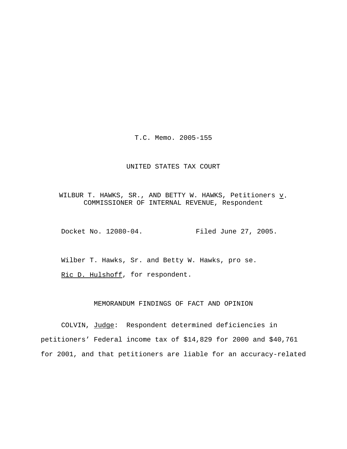T.C. Memo. 2005-155

### UNITED STATES TAX COURT

WILBUR T. HAWKS, SR., AND BETTY W. HAWKS, Petitioners  $\underline{v}$ . COMMISSIONER OF INTERNAL REVENUE, Respondent

Docket No. 12080-04. Filed June 27, 2005.

Wilber T. Hawks, Sr. and Betty W. Hawks, pro se.

Ric D. Hulshoff, for respondent.

### MEMORANDUM FINDINGS OF FACT AND OPINION

COLVIN, Judge: Respondent determined deficiencies in petitioners' Federal income tax of \$14,829 for 2000 and \$40,761 for 2001, and that petitioners are liable for an accuracy-related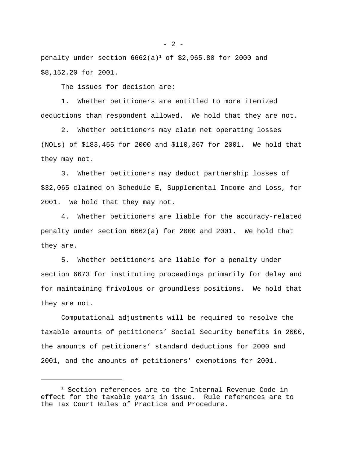penalty under section  $6662(a)^1$  of \$2,965.80 for 2000 and \$8,152.20 for 2001.

The issues for decision are:

1. Whether petitioners are entitled to more itemized deductions than respondent allowed. We hold that they are not.

2. Whether petitioners may claim net operating losses (NOLs) of \$183,455 for 2000 and \$110,367 for 2001. We hold that they may not.

3. Whether petitioners may deduct partnership losses of \$32,065 claimed on Schedule E, Supplemental Income and Loss, for 2001. We hold that they may not.

4. Whether petitioners are liable for the accuracy-related penalty under section 6662(a) for 2000 and 2001. We hold that they are.

5. Whether petitioners are liable for a penalty under section 6673 for instituting proceedings primarily for delay and for maintaining frivolous or groundless positions. We hold that they are not.

Computational adjustments will be required to resolve the taxable amounts of petitioners' Social Security benefits in 2000, the amounts of petitioners' standard deductions for 2000 and 2001, and the amounts of petitioners' exemptions for 2001.

<sup>&</sup>lt;sup>1</sup> Section references are to the Internal Revenue Code in effect for the taxable years in issue. Rule references are to the Tax Court Rules of Practice and Procedure.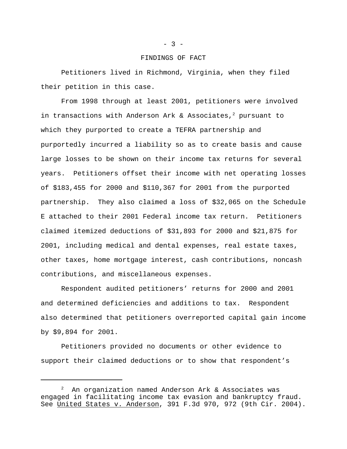#### FINDINGS OF FACT

Petitioners lived in Richmond, Virginia, when they filed their petition in this case.

From 1998 through at least 2001, petitioners were involved in transactions with Anderson Ark & Associates,<sup>2</sup> pursuant to which they purported to create a TEFRA partnership and purportedly incurred a liability so as to create basis and cause large losses to be shown on their income tax returns for several years. Petitioners offset their income with net operating losses of \$183,455 for 2000 and \$110,367 for 2001 from the purported partnership. They also claimed a loss of \$32,065 on the Schedule E attached to their 2001 Federal income tax return. Petitioners claimed itemized deductions of \$31,893 for 2000 and \$21,875 for 2001, including medical and dental expenses, real estate taxes, other taxes, home mortgage interest, cash contributions, noncash contributions, and miscellaneous expenses.

Respondent audited petitioners' returns for 2000 and 2001 and determined deficiencies and additions to tax. Respondent also determined that petitioners overreported capital gain income by \$9,894 for 2001.

Petitioners provided no documents or other evidence to support their claimed deductions or to show that respondent's

 $- 3 -$ 

<sup>2</sup> An organization named Anderson Ark & Associates was engaged in facilitating income tax evasion and bankruptcy fraud. See United States v. Anderson, 391 F.3d 970, 972 (9th Cir. 2004).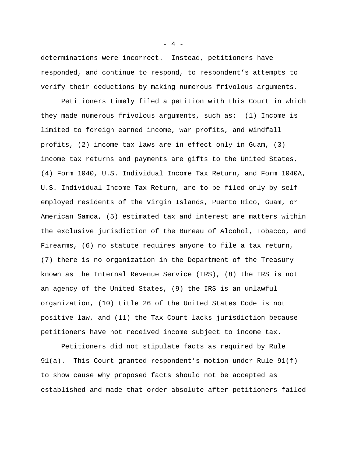determinations were incorrect. Instead, petitioners have responded, and continue to respond, to respondent's attempts to verify their deductions by making numerous frivolous arguments.

Petitioners timely filed a petition with this Court in which they made numerous frivolous arguments, such as: (1) Income is limited to foreign earned income, war profits, and windfall profits, (2) income tax laws are in effect only in Guam, (3) income tax returns and payments are gifts to the United States, (4) Form 1040, U.S. Individual Income Tax Return, and Form 1040A, U.S. Individual Income Tax Return, are to be filed only by selfemployed residents of the Virgin Islands, Puerto Rico, Guam, or American Samoa, (5) estimated tax and interest are matters within the exclusive jurisdiction of the Bureau of Alcohol, Tobacco, and Firearms, (6) no statute requires anyone to file a tax return, (7) there is no organization in the Department of the Treasury known as the Internal Revenue Service (IRS), (8) the IRS is not an agency of the United States, (9) the IRS is an unlawful organization, (10) title 26 of the United States Code is not positive law, and (11) the Tax Court lacks jurisdiction because petitioners have not received income subject to income tax.

Petitioners did not stipulate facts as required by Rule 91(a). This Court granted respondent's motion under Rule 91(f) to show cause why proposed facts should not be accepted as established and made that order absolute after petitioners failed

 $- 4 -$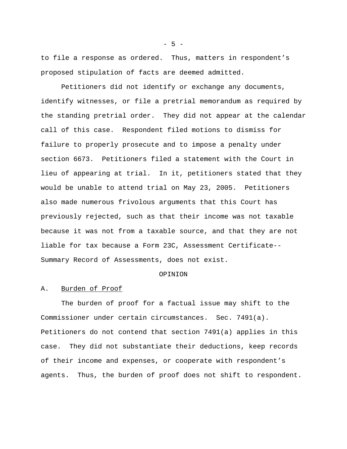to file a response as ordered. Thus, matters in respondent's proposed stipulation of facts are deemed admitted.

Petitioners did not identify or exchange any documents, identify witnesses, or file a pretrial memorandum as required by the standing pretrial order. They did not appear at the calendar call of this case. Respondent filed motions to dismiss for failure to properly prosecute and to impose a penalty under section 6673. Petitioners filed a statement with the Court in lieu of appearing at trial. In it, petitioners stated that they would be unable to attend trial on May 23, 2005. Petitioners also made numerous frivolous arguments that this Court has previously rejected, such as that their income was not taxable because it was not from a taxable source, and that they are not liable for tax because a Form 23C, Assessment Certificate-- Summary Record of Assessments, does not exist.

#### OPINION

#### A. Burden of Proof

The burden of proof for a factual issue may shift to the Commissioner under certain circumstances. Sec. 7491(a). Petitioners do not contend that section 7491(a) applies in this case. They did not substantiate their deductions, keep records of their income and expenses, or cooperate with respondent's agents. Thus, the burden of proof does not shift to respondent.

 $-5 -$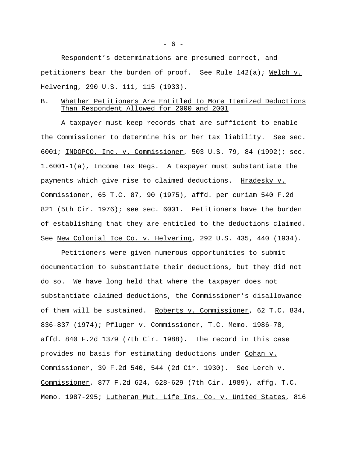Respondent's determinations are presumed correct, and petitioners bear the burden of proof. See Rule 142(a); Welch v. Helvering, 290 U.S. 111, 115 (1933).

## B. Whether Petitioners Are Entitled to More Itemized Deductions Than Respondent Allowed for 2000 and 2001

A taxpayer must keep records that are sufficient to enable the Commissioner to determine his or her tax liability. See sec. 6001; INDOPCO, Inc. v. Commissioner, 503 U.S. 79, 84 (1992); sec. 1.6001-1(a), Income Tax Regs. A taxpayer must substantiate the payments which give rise to claimed deductions. Hradesky v. Commissioner, 65 T.C. 87, 90 (1975), affd. per curiam 540 F.2d 821 (5th Cir. 1976); see sec. 6001. Petitioners have the burden of establishing that they are entitled to the deductions claimed. See New Colonial Ice Co. v. Helvering, 292 U.S. 435, 440 (1934).

Petitioners were given numerous opportunities to submit documentation to substantiate their deductions, but they did not do so. We have long held that where the taxpayer does not substantiate claimed deductions, the Commissioner's disallowance of them will be sustained. Roberts v. Commissioner, 62 T.C. 834, 836-837 (1974); Pfluger v. Commissioner, T.C. Memo. 1986-78, affd. 840 F.2d 1379 (7th Cir. 1988). The record in this case provides no basis for estimating deductions under Cohan v. Commissioner, 39 F.2d 540, 544 (2d Cir. 1930). See Lerch v. Commissioner, 877 F.2d 624, 628-629 (7th Cir. 1989), affg. T.C. Memo. 1987-295; Lutheran Mut. Life Ins. Co. v. United States, 816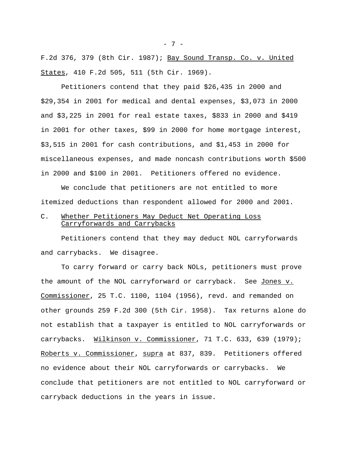F.2d 376, 379 (8th Cir. 1987); Bay Sound Transp. Co. v. United States, 410 F.2d 505, 511 (5th Cir. 1969).

Petitioners contend that they paid \$26,435 in 2000 and \$29,354 in 2001 for medical and dental expenses, \$3,073 in 2000 and \$3,225 in 2001 for real estate taxes, \$833 in 2000 and \$419 in 2001 for other taxes, \$99 in 2000 for home mortgage interest, \$3,515 in 2001 for cash contributions, and \$1,453 in 2000 for miscellaneous expenses, and made noncash contributions worth \$500 in 2000 and \$100 in 2001. Petitioners offered no evidence.

We conclude that petitioners are not entitled to more itemized deductions than respondent allowed for 2000 and 2001.

## C. Whether Petitioners May Deduct Net Operating Loss Carryforwards and Carrybacks

Petitioners contend that they may deduct NOL carryforwards and carrybacks. We disagree.

To carry forward or carry back NOLs, petitioners must prove the amount of the NOL carryforward or carryback. See Jones v. Commissioner, 25 T.C. 1100, 1104 (1956), revd. and remanded on other grounds 259 F.2d 300 (5th Cir. 1958). Tax returns alone do not establish that a taxpayer is entitled to NOL carryforwards or carrybacks. Wilkinson v. Commissioner, 71 T.C. 633, 639 (1979); Roberts v. Commissioner, supra at 837, 839. Petitioners offered no evidence about their NOL carryforwards or carrybacks. We conclude that petitioners are not entitled to NOL carryforward or carryback deductions in the years in issue.

- 7 -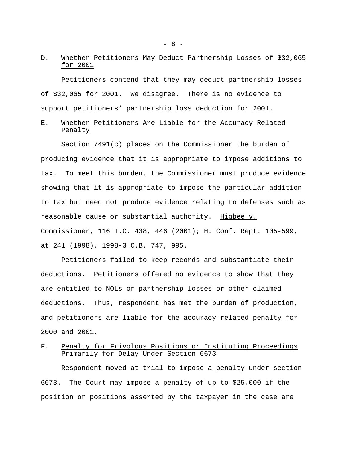# D. Whether Petitioners May Deduct Partnership Losses of \$32,065 for 2001

Petitioners contend that they may deduct partnership losses of \$32,065 for 2001. We disagree. There is no evidence to support petitioners' partnership loss deduction for 2001.

# E. Whether Petitioners Are Liable for the Accuracy-Related Penalty

Section 7491(c) places on the Commissioner the burden of producing evidence that it is appropriate to impose additions to tax. To meet this burden, the Commissioner must produce evidence showing that it is appropriate to impose the particular addition to tax but need not produce evidence relating to defenses such as reasonable cause or substantial authority. Higbee v. Commissioner, 116 T.C. 438, 446 (2001); H. Conf. Rept. 105-599, at 241 (1998), 1998-3 C.B. 747, 995.

Petitioners failed to keep records and substantiate their deductions. Petitioners offered no evidence to show that they are entitled to NOLs or partnership losses or other claimed deductions. Thus, respondent has met the burden of production, and petitioners are liable for the accuracy-related penalty for 2000 and 2001.

# F. Penalty for Frivolous Positions or Instituting Proceedings Primarily for Delay Under Section 6673

Respondent moved at trial to impose a penalty under section 6673. The Court may impose a penalty of up to \$25,000 if the position or positions asserted by the taxpayer in the case are